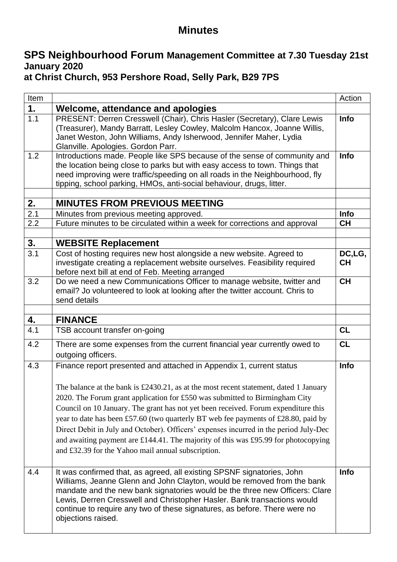### **Minutes**

# **SPS Neighbourhood Forum Management Committee at 7.30 Tuesday 21st January 2020**

# **at Christ Church, 953 Pershore Road, Selly Park, B29 7PS**

| Item |                                                                                                                                                                                                                                                                                                                                                                                                                                                                                                                                                                                                                                                              | Action              |
|------|--------------------------------------------------------------------------------------------------------------------------------------------------------------------------------------------------------------------------------------------------------------------------------------------------------------------------------------------------------------------------------------------------------------------------------------------------------------------------------------------------------------------------------------------------------------------------------------------------------------------------------------------------------------|---------------------|
| 1.   | Welcome, attendance and apologies                                                                                                                                                                                                                                                                                                                                                                                                                                                                                                                                                                                                                            |                     |
| 1.1  | PRESENT: Derren Cresswell (Chair), Chris Hasler (Secretary), Clare Lewis<br>(Treasurer), Mandy Barratt, Lesley Cowley, Malcolm Hancox, Joanne Willis,<br>Janet Weston, John Williams, Andy Isherwood, Jennifer Maher, Lydia<br>Glanville. Apologies. Gordon Parr.                                                                                                                                                                                                                                                                                                                                                                                            | Info                |
| 1.2  | Introductions made. People like SPS because of the sense of community and<br>the location being close to parks but with easy access to town. Things that<br>need improving were traffic/speeding on all roads in the Neighbourhood, fly<br>tipping, school parking, HMOs, anti-social behaviour, drugs, litter.                                                                                                                                                                                                                                                                                                                                              | Info                |
| 2.   | <b>MINUTES FROM PREVIOUS MEETING</b>                                                                                                                                                                                                                                                                                                                                                                                                                                                                                                                                                                                                                         |                     |
| 2.1  | Minutes from previous meeting approved.                                                                                                                                                                                                                                                                                                                                                                                                                                                                                                                                                                                                                      | Info                |
| 2.2  | Future minutes to be circulated within a week for corrections and approval                                                                                                                                                                                                                                                                                                                                                                                                                                                                                                                                                                                   | <b>CH</b>           |
|      |                                                                                                                                                                                                                                                                                                                                                                                                                                                                                                                                                                                                                                                              |                     |
| 3.   | <b>WEBSITE Replacement</b>                                                                                                                                                                                                                                                                                                                                                                                                                                                                                                                                                                                                                                   |                     |
| 3.1  | Cost of hosting requires new host alongside a new website. Agreed to<br>investigate creating a replacement website ourselves. Feasibility required<br>before next bill at end of Feb. Meeting arranged                                                                                                                                                                                                                                                                                                                                                                                                                                                       | DC,LG,<br><b>CH</b> |
| 3.2  | Do we need a new Communications Officer to manage website, twitter and<br>email? Jo volunteered to look at looking after the twitter account. Chris to<br>send details                                                                                                                                                                                                                                                                                                                                                                                                                                                                                       | <b>CH</b>           |
| 4.   | <b>FINANCE</b>                                                                                                                                                                                                                                                                                                                                                                                                                                                                                                                                                                                                                                               |                     |
| 4.1  | TSB account transfer on-going                                                                                                                                                                                                                                                                                                                                                                                                                                                                                                                                                                                                                                | CL                  |
|      |                                                                                                                                                                                                                                                                                                                                                                                                                                                                                                                                                                                                                                                              |                     |
| 4.2  | There are some expenses from the current financial year currently owed to<br>outgoing officers.                                                                                                                                                                                                                                                                                                                                                                                                                                                                                                                                                              | CL                  |
| 4.3  | Finance report presented and attached in Appendix 1, current status<br>The balance at the bank is £2430.21, as at the most recent statement, dated 1 January<br>2020. The Forum grant application for £550 was submitted to Birmingham City<br>Council on 10 January. The grant has not yet been received. Forum expenditure this<br>year to date has been £57.60 (two quarterly BT web fee payments of £28.80, paid by<br>Direct Debit in July and October). Officers' expenses incurred in the period July-Dec<br>and awaiting payment are £144.41. The majority of this was £95.99 for photocopying<br>and £32.39 for the Yahoo mail annual subscription. | Info                |
| 4.4  | It was confirmed that, as agreed, all existing SPSNF signatories, John<br>Williams, Jeanne Glenn and John Clayton, would be removed from the bank<br>mandate and the new bank signatories would be the three new Officers: Clare<br>Lewis, Derren Cresswell and Christopher Hasler. Bank transactions would<br>continue to require any two of these signatures, as before. There were no<br>objections raised.                                                                                                                                                                                                                                               | Info                |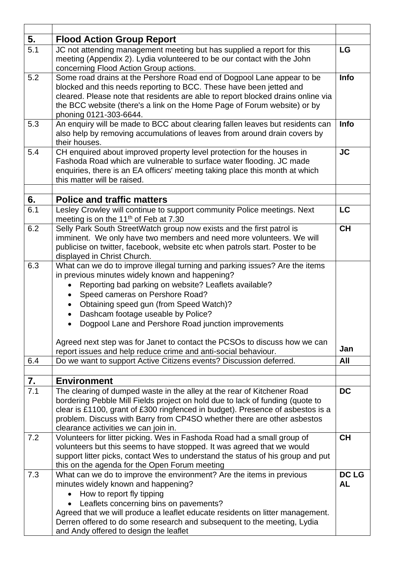| 5.  | <b>Flood Action Group Report</b>                                                                                                                                                                                                                                                                                                                                                                      |                           |
|-----|-------------------------------------------------------------------------------------------------------------------------------------------------------------------------------------------------------------------------------------------------------------------------------------------------------------------------------------------------------------------------------------------------------|---------------------------|
| 5.1 | JC not attending management meeting but has supplied a report for this<br>meeting (Appendix 2). Lydia volunteered to be our contact with the John<br>concerning Flood Action Group actions.                                                                                                                                                                                                           | LG                        |
| 5.2 | Some road drains at the Pershore Road end of Dogpool Lane appear to be<br>blocked and this needs reporting to BCC. These have been jetted and<br>cleared. Please note that residents are able to report blocked drains online via<br>the BCC website (there's a link on the Home Page of Forum website) or by<br>phoning 0121-303-6644.                                                               | Info                      |
| 5.3 | An enquiry will be made to BCC about clearing fallen leaves but residents can<br>also help by removing accumulations of leaves from around drain covers by<br>their houses.                                                                                                                                                                                                                           | Info                      |
| 5.4 | CH enquired about improved property level protection for the houses in<br>Fashoda Road which are vulnerable to surface water flooding. JC made<br>enquiries, there is an EA officers' meeting taking place this month at which<br>this matter will be raised.                                                                                                                                         | <b>JC</b>                 |
| 6.  | <b>Police and traffic matters</b>                                                                                                                                                                                                                                                                                                                                                                     |                           |
| 6.1 | Lesley Crowley will continue to support community Police meetings. Next<br>meeting is on the 11 <sup>th</sup> of Feb at 7.30                                                                                                                                                                                                                                                                          | <b>LC</b>                 |
| 6.2 | Selly Park South StreetWatch group now exists and the first patrol is<br>imminent. We only have two members and need more volunteers. We will<br>publicise on twitter, facebook, website etc when patrols start. Poster to be<br>displayed in Christ Church.                                                                                                                                          | <b>CH</b>                 |
| 6.3 | What can we do to improve illegal turning and parking issues? Are the items<br>in previous minutes widely known and happening?<br>Reporting bad parking on website? Leaflets available?<br>Speed cameras on Pershore Road?<br>Obtaining speed gun (from Speed Watch)?<br>$\bullet$<br>Dashcam footage useable by Police?<br>$\bullet$<br>Dogpool Lane and Pershore Road junction improvements         |                           |
|     | Agreed next step was for Janet to contact the PCSOs to discuss how we can                                                                                                                                                                                                                                                                                                                             | Jan                       |
|     | report issues and help reduce crime and anti-social behaviour.                                                                                                                                                                                                                                                                                                                                        |                           |
| 6.4 | Do we want to support Active Citizens events? Discussion deferred.                                                                                                                                                                                                                                                                                                                                    | All                       |
| 7.  | <b>Environment</b>                                                                                                                                                                                                                                                                                                                                                                                    |                           |
| 7.1 | The clearing of dumped waste in the alley at the rear of Kitchener Road<br>bordering Pebble Mill Fields project on hold due to lack of funding (quote to<br>clear is £1100, grant of £300 ringfenced in budget). Presence of asbestos is a<br>problem. Discuss with Barry from CP4SO whether there are other asbestos<br>clearance activities we can join in.                                         | <b>DC</b>                 |
| 7.2 | Volunteers for litter picking. Wes in Fashoda Road had a small group of<br>volunteers but this seems to have stopped. It was agreed that we would<br>support litter picks, contact Wes to understand the status of his group and put<br>this on the agenda for the Open Forum meeting                                                                                                                 | <b>CH</b>                 |
| 7.3 | What can we do to improve the environment? Are the items in previous<br>minutes widely known and happening?<br>How to report fly tipping<br>Leaflets concerning bins on pavements?<br>$\bullet$<br>Agreed that we will produce a leaflet educate residents on litter management.<br>Derren offered to do some research and subsequent to the meeting, Lydia<br>and Andy offered to design the leaflet | <b>DC LG</b><br><b>AL</b> |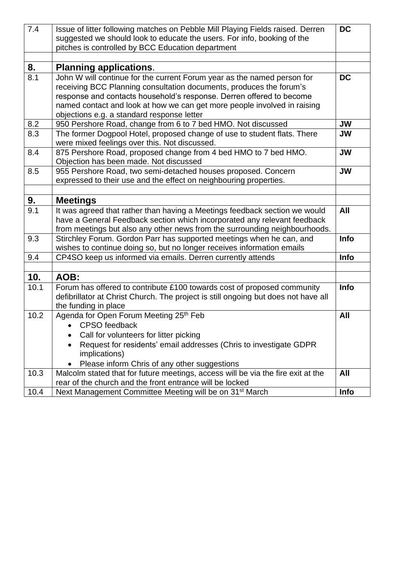| 7.4  | Issue of litter following matches on Pebble Mill Playing Fields raised. Derren                              | <b>DC</b>   |
|------|-------------------------------------------------------------------------------------------------------------|-------------|
|      | suggested we should look to educate the users. For info, booking of the                                     |             |
|      | pitches is controlled by BCC Education department                                                           |             |
|      |                                                                                                             |             |
| 8.   | <b>Planning applications.</b>                                                                               |             |
| 8.1  | John W will continue for the current Forum year as the named person for                                     | <b>DC</b>   |
|      | receiving BCC Planning consultation documents, produces the forum's                                         |             |
|      | response and contacts household's response. Derren offered to become                                        |             |
|      | named contact and look at how we can get more people involved in raising                                    |             |
|      | objections e.g. a standard response letter                                                                  |             |
| 8.2  | 950 Pershore Road, change from 6 to 7 bed HMO. Not discussed                                                | <b>JW</b>   |
| 8.3  | The former Dogpool Hotel, proposed change of use to student flats. There                                    | <b>JW</b>   |
|      | were mixed feelings over this. Not discussed.                                                               |             |
| 8.4  | 875 Pershore Road, proposed change from 4 bed HMO to 7 bed HMO.                                             | <b>JW</b>   |
|      | Objection has been made. Not discussed                                                                      |             |
| 8.5  | 955 Pershore Road, two semi-detached houses proposed. Concern                                               | <b>JW</b>   |
|      | expressed to their use and the effect on neighbouring properties.                                           |             |
|      |                                                                                                             |             |
| 9.   | <b>Meetings</b>                                                                                             |             |
| 9.1  | It was agreed that rather than having a Meetings feedback section we would                                  | All         |
|      | have a General Feedback section which incorporated any relevant feedback                                    |             |
|      | from meetings but also any other news from the surrounding neighbourhoods.                                  |             |
| 9.3  | Stirchley Forum. Gordon Parr has supported meetings when he can, and                                        | <b>Info</b> |
|      | wishes to continue doing so, but no longer receives information emails                                      |             |
| 9.4  | CP4SO keep us informed via emails. Derren currently attends                                                 | Info        |
|      |                                                                                                             |             |
| 10.  | AOB:                                                                                                        |             |
| 10.1 | Forum has offered to contribute £100 towards cost of proposed community                                     | <b>Info</b> |
|      | defibrillator at Christ Church. The project is still ongoing but does not have all                          |             |
|      | the funding in place                                                                                        |             |
| 10.2 | Agenda for Open Forum Meeting 25th Feb                                                                      | All         |
|      |                                                                                                             |             |
|      | <b>CPSO</b> feedback                                                                                        |             |
|      |                                                                                                             |             |
|      | Call for volunteers for litter picking<br>Request for residents' email addresses (Chris to investigate GDPR |             |
|      | implications)                                                                                               |             |
|      | Please inform Chris of any other suggestions                                                                |             |
| 10.3 | Malcolm stated that for future meetings, access will be via the fire exit at the                            | All         |
|      | rear of the church and the front entrance will be locked                                                    |             |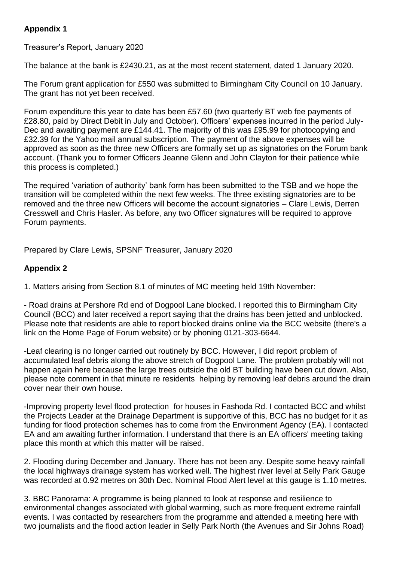#### **Appendix 1**

Treasurer's Report, January 2020

The balance at the bank is £2430.21, as at the most recent statement, dated 1 January 2020.

The Forum grant application for £550 was submitted to Birmingham City Council on 10 January. The grant has not yet been received.

Forum expenditure this year to date has been £57.60 (two quarterly BT web fee payments of £28.80, paid by Direct Debit in July and October). Officers' expenses incurred in the period July-Dec and awaiting payment are £144.41. The majority of this was £95.99 for photocopying and £32.39 for the Yahoo mail annual subscription. The payment of the above expenses will be approved as soon as the three new Officers are formally set up as signatories on the Forum bank account. (Thank you to former Officers Jeanne Glenn and John Clayton for their patience while this process is completed.)

The required 'variation of authority' bank form has been submitted to the TSB and we hope the transition will be completed within the next few weeks. The three existing signatories are to be removed and the three new Officers will become the account signatories – Clare Lewis, Derren Cresswell and Chris Hasler. As before, any two Officer signatures will be required to approve Forum payments.

Prepared by Clare Lewis, SPSNF Treasurer, January 2020

#### **Appendix 2**

1. Matters arising from Section 8.1 of minutes of MC meeting held 19th November:

- Road drains at Pershore Rd end of Dogpool Lane blocked. I reported this to Birmingham City Council (BCC) and later received a report saying that the drains has been jetted and unblocked. Please note that residents are able to report blocked drains online via the BCC website (there's a link on the Home Page of Forum website) or by phoning 0121-303-6644.

-Leaf clearing is no longer carried out routinely by BCC. However, I did report problem of accumulated leaf debris along the above stretch of Dogpool Lane. The problem probably will not happen again here because the large trees outside the old BT building have been cut down. Also, please note comment in that minute re residents helping by removing leaf debris around the drain cover near their own house.

-Improving property level flood protection for houses in Fashoda Rd. I contacted BCC and whilst the Projects Leader at the Drainage Department is supportive of this, BCC has no budget for it as funding for flood protection schemes has to come from the Environment Agency (EA). I contacted EA and am awaiting further information. I understand that there is an EA officers' meeting taking place this month at which this matter will be raised.

2. Flooding during December and January. There has not been any. Despite some heavy rainfall the local highways drainage system has worked well. The highest river level at Selly Park Gauge was recorded at 0.92 metres on 30th Dec. Nominal Flood Alert level at this gauge is 1.10 metres.

3. BBC Panorama: A programme is being planned to look at response and resilience to environmental changes associated with global warming, such as more frequent extreme rainfall events. I was contacted by researchers from the programme and attended a meeting here with two journalists and the flood action leader in Selly Park North (the Avenues and Sir Johns Road)